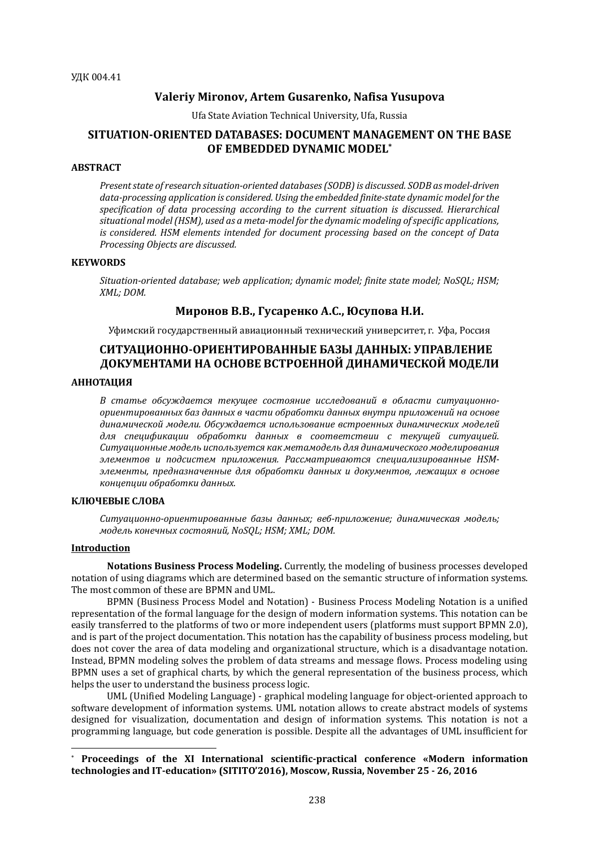## **Valeriy Mironov, Artem Gusarenko, Nafisa Yusupova**

Ufa State Aviation Technical University, Ufa, Russia

# **SITUATION-ORIENTED DATABASES: DOCUMENT MANAGEMENT ON THE BASE OF EMBEDDED DYNAMIC MODEL\***

#### **ABSTRACT**

*Present state of research situation-oriented databases (SODB) is discussed. SODB as model-driven* data-processing application is considered. Using the embedded finite-state dynamic model for the specification of data processing according to the current situation is discussed. Hierarchical situational model (HSM), used as a meta-model for the dynamic modeling of specific applications, *is* considered. HSM elements intended for document processing based on the concept of Data *Processing Objects are discussed.*

#### **KEYWORDS**

Situation-oriented database; web application; dynamic model; finite state model; NoSQL; HSM; *XML; DOM.*

# **Миронов В.В., Гусаренко А.С., Юсупова Н.И.**

Уфимский государственный авиационный технический университет, г. Уфа, Россия

# **СИТУАЦИОННО-ОРИЕНТИРОВАННЫЕ БАЗЫ ДАННЫХ: УПРАВЛЕНИЕ ДОКУМЕНТАМИ НА ОСНОВЕ ВСТРОЕННОЙ ДИНАМИЧЕСКОЙ МОДЕЛИ**

# **АННОТАЦИЯ**

В статье обсуждается текущее состояние исследований в области ситуационноориентированных баз данных в части обработки данных внутри приложений на основе динамической модели. Обсуждается использование встроенных динамических моделей *для спецификации обработки данных в соответствии с текущей ситуацией.*  Ситуационные модель используется как метамодель для динамического моделирования элементов и подсистем приложения. Рассматриваются специализированные HSMэлементы, предназначенные для обработки данных и документов, лежаших в основе *концепции обработки данных.*

# **КЛЮЧЕВЫЕ СЛОВА**

Ситуационно-ориентированные базы данных; веб-приложение; динамическая модель; *модель конечных состояний, NoSQL; HSM; XML; DOM.*

#### **Introduction**

 $\overline{a}$ 

**Notations Business Process Modeling.** Currently, the modeling of business processes developed notation of using diagrams which are determined based on the semantic structure of information systems. The most common of these are BPMN and UML.

BPMN (Business Process Model and Notation) - Business Process Modeling Notation is a unified representation of the formal language for the design of modern information systems. This notation can be easily transferred to the platforms of two or more independent users (platforms must support BPMN 2.0), and is part of the project documentation. This notation has the capability of business process modeling, but does not cover the area of data modeling and organizational structure, which is a disadvantage notation. Instead, BPMN modeling solves the problem of data streams and message flows. Process modeling using BPMN uses a set of graphical charts, by which the general representation of the business process, which helps the user to understand the business process logic.

UML (Unified Modeling Language) - graphical modeling language for object-oriented approach to software development of information systems. UML notation allows to create abstract models of systems designed for visualization, documentation and design of information systems. This notation is not a programming language, but code generation is possible. Despite all the advantages of UML insufficient for

<sup>\*</sup> **Proceedings of the XI International scientific-practical conference «Modern information technologies and IT-education» (SITITO'2016), Moscow, Russia, November 25 - 26, 2016**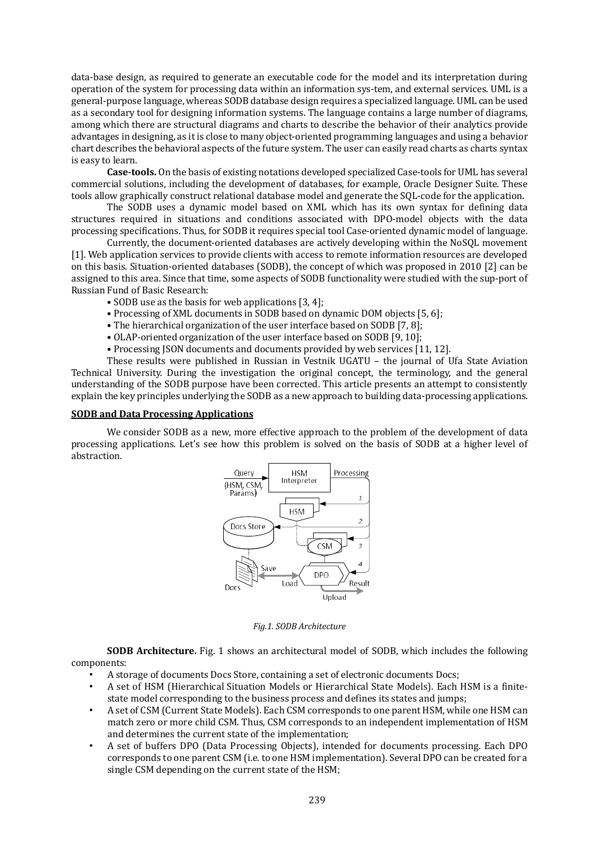data-base design, as required to generate an executable code for the model and its interpretation during operation of the system for processing data within an information sys-tem, and external services. UML is a general-purpose language, whereas SODB database design requires a specialized language. UML can be used as a secondary tool for designing information systems. The language contains a large number of diagrams, among which there are structural diagrams and charts to describe the behavior of their analytics provide advantages in designing, as it is close to many object-oriented programming languages and using a behavior chart describes the behavioral aspects of the future system. The user can easily read charts as charts syntax is easy to learn.

**Case-tools.** On the basis of existing notations developed specialized Case-tools for UML has several commercial solutions, including the development of databases, for example, Oracle Designer Suite. These tools allow graphically construct relational database model and generate the SQL-code for the application.

The SODB uses a dynamic model based on XML which has its own syntax for defining data structures required in situations and conditions associated with DPO-model objects with the data processing specifications. Thus, for SODB it requires special tool Case-oriented dynamic model of language.

Currently, the document-oriented databases are actively developing within the NoSQL movement [1]. Web application services to provide clients with access to remote information resources are developed on this basis. Situation-oriented databases (SODB), the concept of which was proposed in 2010 [2] can be assigned to this area. Since that time, some aspects of SODB functionality were studied with the sup-port of Russian Fund of Basic Research:

- SODB use as the basis for web applications [3, 4];
- Processing of XML documents in SODB based on dynamic DOM objects [5, 6];
- The hierarchical organization of the user interface based on SODB [7, 8];
- OLAP-oriented organization of the user interface based on SODB [9, 10];
- Processing JSON documents and documents provided by web services [11, 12].

These results were published in Russian in Vestnik UGATU – the journal of Ufa State Aviation Technical University. During the investigation the original concept, the terminology, and the general understanding of the SODB purpose have been corrected. This article presents an attempt to consistently explain the key principles underlying the SODB as a new approach to building data-processing applications.

#### **SODB and Data Processing Applications**

We consider SODB as a new, more effective approach to the problem of the development of data processing applications. Let's see how this problem is solved on the basis of SODB at a higher level of abstraction.



*Fig.1. SODB Architecture*

**SODB Architecture.** Fig. 1 shows an architectural model of SODB, which includes the following components:

- A storage of documents Docs Store, containing a set of electronic documents Docs;
- A set of HSM (Hierarchical Situation Models or Hierarchical State Models). Each HSM is a finitestate model corresponding to the business process and defines its states and jumps;
- A set of CSM (Current State Models). Each CSM corresponds to one parent HSM, while one HSM can match zero or more child CSM. Thus, CSM corresponds to an independent implementation of HSM and determines the current state of the implementation;
- A set of buffers DPO (Data Processing Objects), intended for documents processing. Each DPO corresponds to one parent CSM (i.e. to one HSM implementation). Several DPO can be created for a single CSM depending on the current state of the HSM;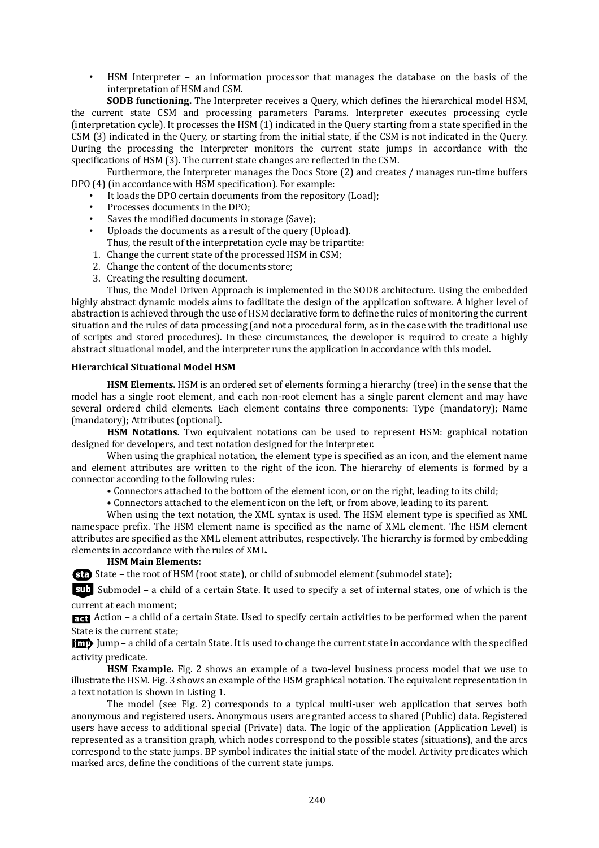• HSM Interpreter – an information processor that manages the database on the basis of the interpretation of HSM and CSM.

**SODB functioning.** The Interpreter receives a Query, which defines the hierarchical model HSM, the current state CSM and processing parameters Params. Interpreter executes processing cycle (interpretation cycle). It processes the HSM (1) indicated in the Query starting from a state specified in the CSM (3) indicated in the Query, or starting from the initial state, if the CSM is not indicated in the Query. During the processing the Interpreter monitors the current state jumps in accordance with the specifications of HSM (3). The current state changes are reflected in the CSM.

Furthermore, the Interpreter manages the Docs Store (2) and creates / manages run-time buffers DPO (4) (in accordance with HSM specification). For example:

- It loads the DPO certain documents from the repository (Load);
- Processes documents in the DPO;
- Saves the modified documents in storage (Save);
- Uploads the documents as a result of the query (Upload). Thus, the result of the interpretation cycle may be tripartite:
- 1. Change the current state of the processed HSM in CSM;
- 2. Change the content of the documents store;
- 3. Creating the resulting document.

Thus, the Model Driven Approach is implemented in the SODB architecture. Using the embedded highly abstract dynamic models aims to facilitate the design of the application software. A higher level of abstraction is achieved through the use of HSM declarative form to define the rules of monitoring the current situation and the rules of data processing (and not a procedural form, as in the case with the traditional use of scripts and stored procedures). In these circumstances, the developer is required to create a highly abstract situational model, and the interpreter runs the application in accordance with this model.

## **Hierarchical Situational Model HSM**

**HSM Elements.** HSM is an ordered set of elements forming a hierarchy (tree) in the sense that the model has a single root element, and each non-root element has a single parent element and may have several ordered child elements. Each element contains three components: Type (mandatory); Name (mandatory); Attributes (optional).

**HSM Notations.** Two equivalent notations can be used to represent HSM: graphical notation designed for developers, and text notation designed for the interpreter.

When using the graphical notation, the element type is specified as an icon, and the element name and element attributes are written to the right of the icon. The hierarchy of elements is formed by a connector according to the following rules:

- Connectors attached to the bottom of the element icon, or on the right, leading to its child;
- Connectors attached to the element icon on the left, or from above, leading to its parent.

When using the text notation, the XML syntax is used. The HSM element type is specified as XML namespace prefix. The HSM element name is specified as the name of XML element. The HSM element attributes are specified as the XML element attributes, respectively. The hierarchy is formed by embedding elements in accordance with the rules of XML.

## **HSM Main Elements:**

State – the root of HSM (root state), or child of submodel element (submodel state);

Submodel – a child of a certain State. It used to specify a set of internal states, one of which is the current at each moment;

Action – a child of a certain State. Used to specify certain activities to be performed when the parent State is the current state;

Jump – a child of a certain State. It is used to change the current state in accordance with the specified activity predicate.

**HSM Example.** Fig. 2 shows an example of a two-level business process model that we use to illustrate the HSM. Fig. 3 shows an example of the HSM graphical notation. The equivalent representation in a text notation is shown in Listing 1.

The model (see Fig. 2) corresponds to a typical multi-user web application that serves both anonymous and registered users. Anonymous users are granted access to shared (Public) data. Registered users have access to additional special (Private) data. The logic of the application (Application Level) is represented as a transition graph, which nodes correspond to the possible states (situations), and the arcs correspond to the state jumps. BP symbol indicates the initial state of the model. Activity predicates which marked arcs, define the conditions of the current state jumps.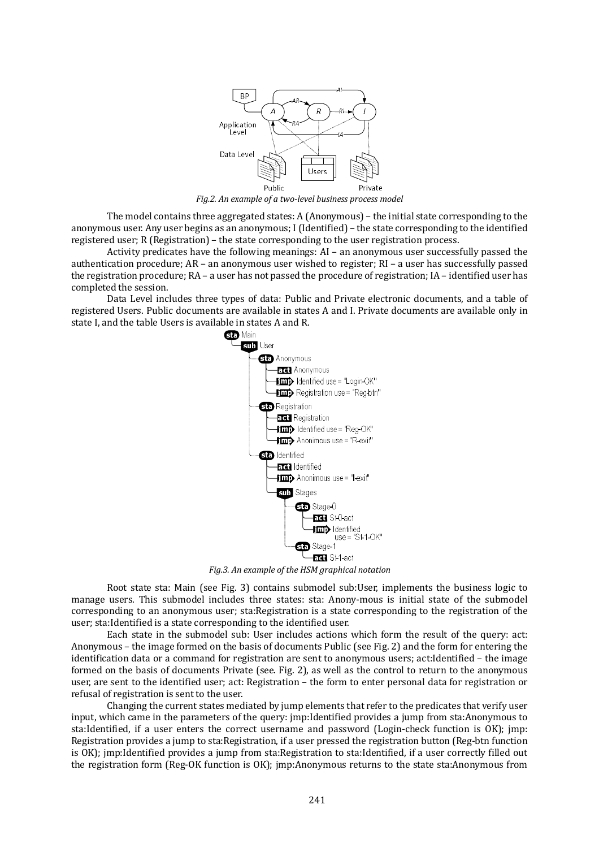

*Fig.2. An example of a two-level business process model* 

The model contains three aggregated states: A (Anonymous) – the initial state corresponding to the anonymous user. Any user begins as an anonymous; I (Identified) – the state corresponding to the identified registered user; R (Registration) – the state corresponding to the user registration process.

Activity predicates have the following meanings: AI – an anonymous user successfully passed the authentication procedure; AR – an anonymous user wished to register; RI – a user has successfully passed the registration procedure; RA – a user has not passed the procedure of registration; IA – identified user has completed the session.

Data Level includes three types of data: Public and Private electronic documents, and a table of registered Users. Public documents are available in states A and I. Private documents are available only in state I, and the table Users is available in states A and R.<br> **Sta** Main



*Fig.3. An example of the HSM graphical notation*

Root state sta: Main (see Fig. 3) contains submodel sub:User, implements the business logic to manage users. This submodel includes three states: sta: Anony-mous is initial state of the submodel corresponding to an anonymous user; sta:Registration is a state corresponding to the registration of the user; sta:Identified is a state corresponding to the identified user.

Each state in the submodel sub: User includes actions which form the result of the query: act: Anonymous – the image formed on the basis of documents Public (see Fig. 2) and the form for entering the identification data or a command for registration are sent to anonymous users; act:Identified – the image formed on the basis of documents Private (see. Fig. 2), as well as the control to return to the anonymous user, are sent to the identified user; act: Registration – the form to enter personal data for registration or refusal of registration is sent to the user.

Changing the current states mediated by jump elements that refer to the predicates that verify user input, which came in the parameters of the query: jmp:Identified provides a jump from sta:Anonymous to sta:Identified, if a user enters the correct username and password (Login-check function is OK); jmp: Registration provides a jump to sta:Registration, if a user pressed the registration button (Reg-btn function is OK); jmp:Identified provides a jump from sta:Registration to sta:Identified, if a user correctly filled out the registration form (Reg-OK function is OK); jmp:Anonymous returns to the state sta:Anonymous from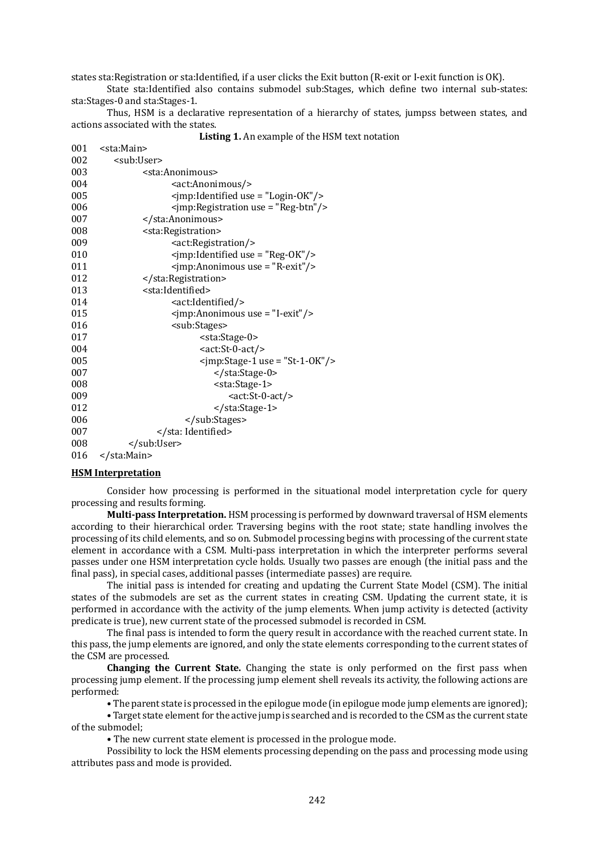states sta:Registration or sta:Identified, if a user clicks the Exit button (R-exit or I-exit function is OK).

State sta:Identified also contains submodel sub:Stages, which define two internal sub-states: sta:Stages-0 and sta:Stages-1.

Thus, HSM is a declarative representation of a hierarchy of states, jumpss between states, and actions associated with the states.

**Listing 1.** An example of the HSM text notation

| 001 | <sta:main></sta:main>                               |
|-----|-----------------------------------------------------|
| 002 | <sub:user></sub:user>                               |
| 003 | <sta:anonimous></sta:anonimous>                     |
| 004 | <act:anonimous></act:anonimous>                     |
| 005 | <jmp:identified use="Login-OK"></jmp:identified>    |
| 006 | <jmp:registration use="Reg-btn"></jmp:registration> |
| 007 |                                                     |
| 008 | <sta:registration></sta:registration>               |
| 009 | <act:registration></act:registration>               |
| 010 | <jmp:identified use="Reg-OK"></jmp:identified>      |
| 011 | <jmp:anonimous use="R-exit"></jmp:anonimous>        |
| 012 |                                                     |
| 013 | <sta:identified></sta:identified>                   |
| 014 | <act:identified></act:identified>                   |
| 015 | <jmp:anonimous use="I-exit"></jmp:anonimous>        |
| 016 | <sub:stages></sub:stages>                           |
| 017 | <sta:stage-0></sta:stage-0>                         |
| 004 | <act:st-0-act></act:st-0-act>                       |
| 005 | $\gamma$ imp:Stage-1 use = "St-1-OK"/>              |
| 007 |                                                     |
| 008 | <sta:stage-1></sta:stage-1>                         |
| 009 | <act:st-0-act></act:st-0-act>                       |
| 012 |                                                     |
| 006 |                                                     |
| 007 |                                                     |
| 008 |                                                     |
| 016 |                                                     |

#### **HSM Interpretation**

Consider how processing is performed in the situational model interpretation cycle for query processing and results forming.

**Multi-pass Interpretation.** HSM processing is performed by downward traversal of HSM elements according to their hierarchical order. Traversing begins with the root state; state handling involves the processing of its child elements, and so on. Submodel processing begins with processing of the current state element in accordance with a CSM. Multi-pass interpretation in which the interpreter performs several passes under one HSM interpretation cycle holds. Usually two passes are enough (the initial pass and the final pass), in special cases, additional passes (intermediate passes) are require.

The initial pass is intended for creating and updating the Current State Model (CSM). The initial states of the submodels are set as the current states in creating CSM. Updating the current state, it is performed in accordance with the activity of the jump elements. When jump activity is detected (activity predicate is true), new current state of the processed submodel is recorded in CSM.

The final pass is intended to form the query result in accordance with the reached current state. In this pass, the jump elements are ignored, and only the state elements corresponding to the current states of the CSM are processed.

**Changing the Current State.** Changing the state is only performed on the first pass when processing jump element. If the processing jump element shell reveals its activity, the following actions are performed:

• The parent state is processed in the epilogue mode (in epilogue mode jump elements are ignored);

• Target state element for the active jump is searched and is recorded to the CSM as the current state of the submodel;

• The new current state element is processed in the prologue mode.

Possibility to lock the HSM elements processing depending on the pass and processing mode using attributes pass and mode is provided.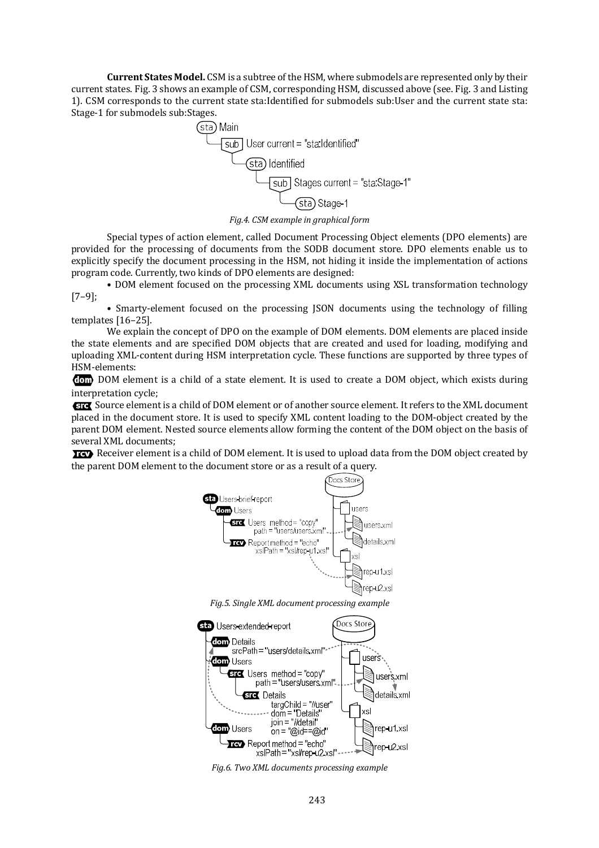**Current States Model.** CSM is a subtree of the HSM, where submodels are represented only by their current states. Fig. 3 shows an example of CSM, corresponding HSM, discussed above (see. Fig. 3 and Listing 1). CSM corresponds to the current state sta:Identified for submodels sub:User and the current state sta: Stage-1 for submodels sub:Stages.



*Fig.4. CSM example in graphical form*

Special types of action element, called Document Processing Object elements (DPO elements) are provided for the processing of documents from the SODB document store. DPO elements enable us to explicitly specify the document processing in the HSM, not hiding it inside the implementation of actions program code. Currently, two kinds of DPO elements are designed:

• DOM element focused on the processing XML documents using XSL transformation technology [7–9];

• Smarty-element focused on the processing JSON documents using the technology of filling templates [16–25].

We explain the concept of DPO on the example of DOM elements. DOM elements are placed inside the state elements and are specified DOM objects that are created and used for loading, modifying and uploading XML-content during HSM interpretation cycle. These functions are supported by three types of HSM-elements:

DOM element is a child of a state element. It is used to create a DOM object, which exists during interpretation cycle;

Source element is a child of DOM element or of another source element. It refers to the XML document placed in the document store. It is used to specify XML content loading to the DOM-object created by the parent DOM element. Nested source elements allow forming the content of the DOM object on the basis of several XML documents;

Receiver element is a child of DOM element. It is used to upload data from the DOM object created by the parent DOM element to the document store or as a result of a query.



*Fig.5. Single XML document processing example*



*Fig.6. Two XML documents processing example*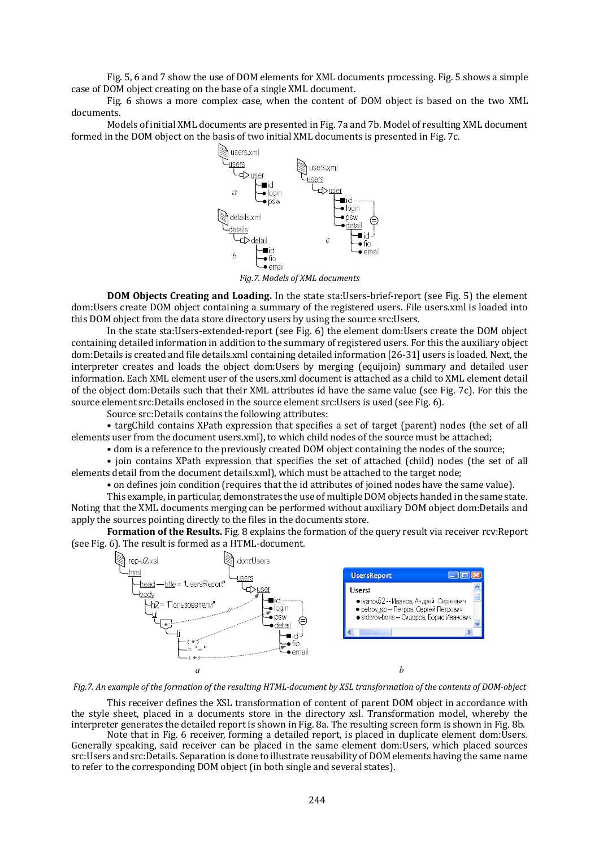Fig. 5, 6 and 7 show the use of DOM elements for XML documents processing. Fig. 5 shows a simple case of DOM object creating on the base of a single XML document.

Fig. 6 shows a more complex case, when the content of DOM object is based on the two XML documents.

Models of initial XML documents are presented in Fig. 7a and 7b. Model of resulting XML document formed in the DOM object on the basis of two initial XML documents is presented in Fig. 7c.



*Fig.7. Models of XML documents*

**DOM Objects Creating and Loading.** In the state sta:Users-brief-report (see Fig. 5) the element dom:Users create DOM object containing a summary of the registered users. File users.xml is loaded into this DOM object from the data store directory users by using the source src:Users.

In the state sta:Users-extended-report (see Fig. 6) the element dom:Users create the DOM object containing detailed information in addition to the summary of registered users. For this the auxiliary object dom:Details is created and file details.xml containing detailed information [26-31] users is loaded. Next, the interpreter creates and loads the object dom:Users by merging (equijoin) summary and detailed user information. Each XML element user of the users.xml document is attached as a child to XML element detail of the object dom:Details such that their XML attributes id have the same value (see Fig. 7c). For this the source element src:Details enclosed in the source element src:Users is used (see Fig. 6).

Source src:Details contains the following attributes:

• targChild contains XPath expression that specifies a set of target (parent) nodes (the set of all elements user from the document users.xml), to which child nodes of the source must be attached;

• dom is a reference to the previously created DOM object containing the nodes of the source;

• join contains XPath expression that specifies the set of attached (child) nodes (the set of all elements detail from the document details.xml), which must be attached to the target node;

• on defines join condition (requires that the id attributes of joined nodes have the same value).

This example, in particular, demonstrates the use of multiple DOM objects handed in the same state. Noting that the XML documents merging can be performed without auxiliary DOM object dom:Details and apply the sources pointing directly to the files in the documents store.

**Formation of the Results.** Fig. 8 explains the formation of the query result via receiver rcv:Report (see Fig. 6). The result is formed as a HTML-document.



*Fig.7.* An example of the formation of the resulting HTML-document by XSL transformation of the contents of DOM-object

This receiver defines the XSL transformation of content of parent DOM object in accordance with the style sheet, placed in a documents store in the directory xsl. Transformation model, whereby the interpreter generates the detailed report is shown in Fig. 8a. The resulting screen form is shown in Fig. 8b.

Note that in Fig. 6 receiver, forming a detailed report, is placed in duplicate element dom:Users. Generally speaking, said receiver can be placed in the same element dom:Users, which placed sources src:Users and src:Details. Separation is done to illustrate reusability of DOM elements having the same name to refer to the corresponding DOM object (in both single and several states).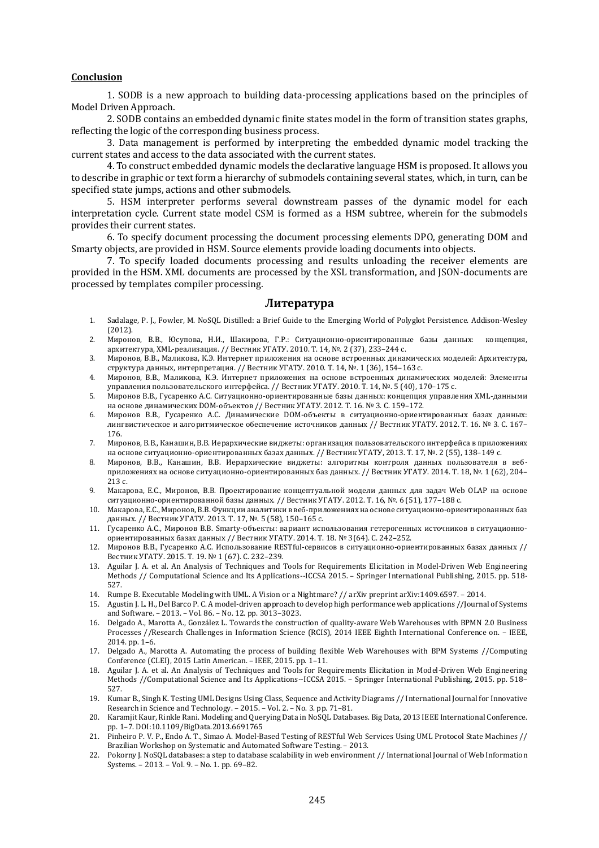## **Conclusion**

1. SODB is a new approach to building data-processing applications based on the principles of Model Driven Approach.

2. SODB contains an embedded dynamic finite states model in the form of transition states graphs, reflecting the logic of the corresponding business process.

3. Data management is performed by interpreting the embedded dynamic model tracking the current states and access to the data associated with the current states.

4. To construct embedded dynamic models the declarative language HSM is proposed. It allows you to describe in graphic or text form a hierarchy of submodels containing several states, which, in turn, can be specified state jumps, actions and other submodels.

5. HSM interpreter performs several downstream passes of the dynamic model for each interpretation cycle. Current state model CSM is formed as a HSM subtree, wherein for the submodels provides their current states.

6. To specify document processing the document processing elements DPO, generating DOM and Smarty objects, are provided in HSM. Source elements provide loading documents into objects.

7. To specify loaded documents processing and results unloading the receiver elements are provided in the HSM. XML documents are processed by the XSL transformation, and JSON-documents are processed by templates compiler processing.

## **Литература**

- 1. Sadalage, P. J., Fowler, M. NoSQL Distilled: a Brief Guide to the Emerging World of Polyglot Persistence. Addison-Wesley (2012).
- 2. Миронов, В.В., Юсупова, Н.И., Шакирова, Г.Р.: Ситуационно-ориентированные базы данных: концепция, архитектура, XML-реализация. // Вестник УГАТУ. 2010. Т. 14, №. 2 (37), 233–244 с.
- 3. Миронов, В.В., Маликова, К.Э. Интернет приложения на основе встроенных динамических моделей: Архитектура, структура данных, интерпретация. // Вестник УГАТУ. 2010. Т. 14, №. 1 (36), 154–163 с.
- 4. Миронов, В.В., Маликова, К.Э. Интернет приложения на основе встроенных динамических моделей: Элементы управления пользовательского интерфейса. // Вестник УГАТУ. 2010. Т. 14, №. 5 (40), 170–175 с.
- 5. Миронов В.В., Гусаренко А.С. Ситуационно-ориентированные базы данных: концепция управления XML-данными на основе динамических DOM-объектов // Вестник УГАТУ. 2012. Т. 16. № 3. С. 159–172.
- 6. Миронов В.В., Гусаренко А.С. Динамические DOM-объекты в ситуационно-ориентированных базах данных: лингвистическое и алгоритмическое обеспечение источников данных // Вестник УГАТУ. 2012. Т. 16. № 3. С. 167– 176.
- 7. Миронов, В.В., Канашин, В.В. Иерархические виджеты: организация пользовательского интерфейса в приложениях на основе ситуационно-ориентированных базах данных. // Вестник УГАТУ, 2013. Т. 17, №. 2 (55), 138–149 с.
- 8. Миронов, В.В., Канашин, В.В. Иерархические виджеты: алгоритмы контроля данных пользователя в вебприложениях на основе ситуационно-ориентированных баз данных. // Вестник УГАТУ. 2014. Т. 18, №. 1 (62), 204– 213 с.
- 9. Макарова, Е.С., Миронов, В.В. Проектирование концептуальной модели данных для задач Web OLAP на основе ситуационно-ориентированной базы данных. // Вестник УГАТУ. 2012. Т. 16, №. 6 (51), 177–188 с.
- 10. Макарова, Е.С., Миронов, В.В. Функции аналитики в веб-приложениях на основе ситуационно-ориентированных баз данных. // Вестник УГАТУ. 2013. Т. 17, №. 5 (58), 150–165 с.
- 11. Гусаренко А.С., Миронов В.В. Smarty-объекты: вариант использования гетерогенных источников в ситуационноориентированных базах данных // Вестник УГАТУ. 2014. Т. 18. № 3(64). С. 242–252.
- 12. Миронов В.В., Гусаренко А.С. Использование RESTful-сервисов в ситуационно-ориентированных базах данных // Вестник УГАТУ. 2015. Т. 19. № 1 (67). С. 232–239.
- 13. Aguilar J. A. et al. An Analysis of Techniques and Tools for Requirements Elicitation in Model-Driven Web Engineering Methods // Computational Science and Its Applications--ICCSA 2015. – Springer International Publishing, 2015. pp. 518- 527.
- 14. Rumpe B. Executable Modeling with UML. A Vision or a Nightmare? // arXiv preprint arXiv:1409.6597. 2014.
- 15. Agustin J. L. H., Del Barco P. C. A model-driven approach to develop high performance web applications //Journal of Systems and Software. – 2013. – Vol. 86. – No. 12. pp. 3013–3023.
- 16. Delgado A., Marotta A., González L. Towards the construction of quality-aware Web Warehouses with BPMN 2.0 Business Processes //Research Challenges in Information Science (RCIS), 2014 IEEE Eighth International Conference on. – IEEE, 2014. pp. 1–6.
- 17. Delgado A., Marotta A. Automating the process of building flexible Web Warehouses with BPM Systems //Computing Conference (CLEI), 2015 Latin American. – IEEE, 2015. pp. 1–11.
- 18. Aguilar J. A. et al. An Analysis of Techniques and Tools for Requirements Elicitation in Model-Driven Web Engineering Methods //Computational Science and Its Applications--ICCSA 2015. – Springer International Publishing, 2015. pp. 518– 527.
- 19. Kumar B., Singh K. Testing UML Designs Using Class, Sequence and Activity Diagrams // International Journal for Innovative Research in Science and Technology. – 2015. – Vol. 2. – No. 3. pp. 71–81.
- 20. Karamjit Kaur, Rinkle Rani. Modeling and Querying Data in NoSQL Databases. Big Data, 2013 IEEE International Conference. pp. 1–7. DOI:10.1109/BigData.2013.6691765
- 21. Pinheiro P. V. P., Endo A. T., Simao A. Model-Based Testing of RESTful Web Services Using UML Protocol State Machines // Brazilian Workshop on Systematic and Automated Software Testing. – 2013.
- 22. Pokorny J. NoSQL databases: a step to database scalability in web environment // International Journal of Web Information Systems. – 2013. – Vol. 9. – No. 1. pp. 69–82.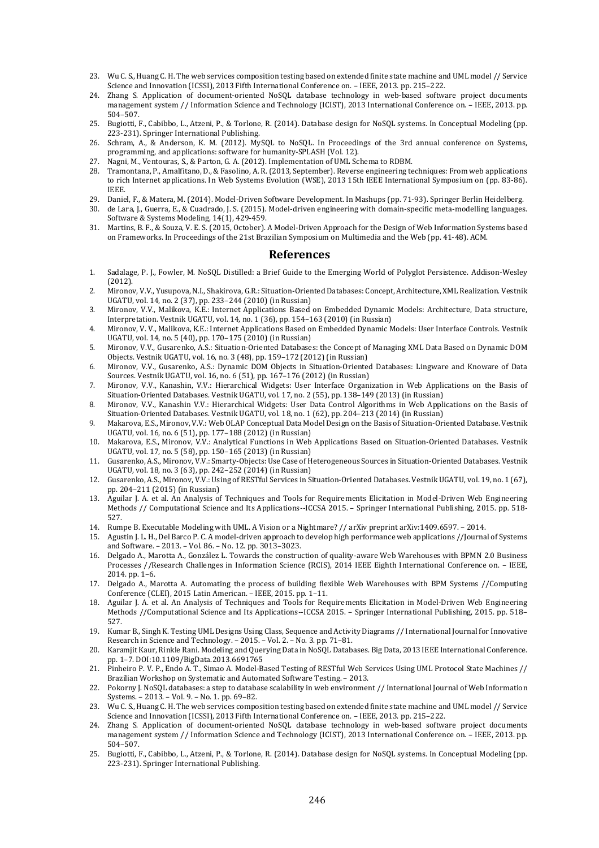- 23. Wu C. S., Huang C. H. The web services composition testing based on extended finite state machine and UML model // Service Science and Innovation (ICSSI), 2013 Fifth International Conference on. – IEEE, 2013. pp. 215–222.
- 24. Zhang S. Application of document-oriented NoSQL database technology in web-based software project documents management system // Information Science and Technology (ICIST), 2013 International Conference on. – IEEE, 2013. pp. 504–507.
- 25. Bugiotti, F., Cabibbo, L., Atzeni, P., & Torlone, R. (2014). Database design for NoSQL systems. In Conceptual Modeling (pp. 223-231). Springer International Publishing.
- 26. Schram, A., & Anderson, K. M. (2012). MySQL to NoSQL. In Proceedings of the 3rd annual conference on Systems, programming, and applications: software for humanity-SPLASH (Vol. 12).
- 27. Nagni, M., Ventouras, S., & Parton, G. A. (2012). Implementation of UML Schema to RDBM.
- 28. Tramontana, P., Amalfitano, D., & Fasolino, A. R. (2013, September). Reverse engineering techniques: From web applications to rich Internet applications. In Web Systems Evolution (WSE), 2013 15th IEEE International Symposium on (pp. 83-86). IEEE.
- 29. Daniel, F., & Matera, M. (2014). Model-Driven Software Development. In Mashups (pp. 71-93). Springer Berlin Heidelberg.
- 30. de Lara, J., Guerra, E., & Cuadrado, J. S. (2015). Model-driven engineering with domain-specific meta-modelling languages. Software & Systems Modeling, 14(1), 429-459.
- 31. Martins, B. F., & Souza, V. E. S. (2015, October). A Model-Driven Approach for the Design of Web Information Systems based on Frameworks. In Proceedings of the 21st Brazilian Symposium on Multimedia and the Web (pp. 41-48). ACM.

## **References**

- 1. Sadalage, P. J., Fowler, M. NoSQL Distilled: a Brief Guide to the Emerging World of Polyglot Persistence. Addison-Wesley (2012).
- 2. Mironov, V.V., Yusupova, N.I., Shakirova, G.R.: Situation-Oriented Databases: Concept, Architecture, XML Realization. Vestnik UGATU, vol. 14, no. 2 (37), pp. 233–244 (2010) (in Russian)
- 3. Mironov, V.V., Malikova, K.E.: Internet Applications Based on Embedded Dynamic Models: Architecture, Data structure, Interpretation. Vestnik UGATU, vol. 14, no. 1 (36), pp. 154–163 (2010) (in Russian)
- 4. Mironov, V. V., Malikova, K.E.: Internet Applications Based on Embedded Dynamic Models: User Interface Controls. Vestnik UGATU, vol. 14, no. 5 (40), pp. 170–175 (2010) (in Russian)
- 5. Mironov, V.V., Gusarenko, A.S.: Situation-Oriented Databases: the Concept of Managing XML Data Based on Dynamic DOM Objects. Vestnik UGATU, vol. 16, no. 3 (48), pp. 159–172 (2012) (in Russian)
- 6. Mironov, V.V., Gusarenko, A.S.: Dynamic DOM Objects in Situation-Oriented Databases: Lingware and Knoware of Data Sources. Vestnik UGATU, vol. 16, no. 6 (51), pp. 167–176 (2012) (in Russian)
- 7. Mironov, V.V., Kanashin, V.V.: Hierarchical Widgets: User Interface Organization in Web Applications on the Basis of Situation-Oriented Databases. Vestnik UGATU, vol. 17, no. 2 (55), pp. 138–149 (2013) (in Russian)
- 8. Mironov, V.V., Kanashin V.V.: Hierarchical Widgets: User Data Control Algorithms in Web Applications on the Basis of Situation-Oriented Databases. Vestnik UGATU, vol. 18, no. 1 (62), pp. 204–213 (2014) (in Russian)
- 9. Makarova, E.S., Mironov, V.V.: Web OLAP Conceptual Data Model Design on the Basis of Situation-Oriented Database. Vestnik UGATU, vol. 16, no. 6 (51), pp. 177–188 (2012) (in Russian)
- 10. Makarova, E.S., Mironov, V.V.: Analytical Functions in Web Applications Based on Situation-Oriented Databases. Vestnik UGATU, vol. 17, no. 5 (58), pp. 150–165 (2013) (in Russian)
- 11. Gusarenko, A.S., Mironov, V.V.: Smarty-Objects: Use Case of Heterogeneous Sources in Situation-Oriented Databases. Vestnik UGATU, vol. 18, no. 3 (63), pp. 242–252 (2014) (in Russian)
- 12. Gusarenko, A.S., Mironov, V.V.: Using of RESTful Services in Situation-Oriented Databases. Vestnik UGATU, vol. 19, no. 1 (67), pp. 204–211 (2015) (in Russian)
- 13. Aguilar J. A. et al. An Analysis of Techniques and Tools for Requirements Elicitation in Model-Driven Web Engineering Methods // Computational Science and Its Applications--ICCSA 2015. – Springer International Publishing, 2015. pp. 518- 527.
- 14. Rumpe B. Executable Modeling with UML. A Vision or a Nightmare? // arXiv preprint arXiv:1409.6597. 2014.
- 15. Agustin J. L. H., Del Barco P. C. A model-driven approach to develop high performance web applications //Journal of Systems and Software. – 2013. – Vol. 86. – No. 12. pp. 3013–3023.
- 16. Delgado A., Marotta A., González L. Towards the construction of quality-aware Web Warehouses with BPMN 2.0 Business Processes //Research Challenges in Information Science (RCIS), 2014 IEEE Eighth International Conference on. – IEEE, 2014. pp. 1–6.
- 17. Delgado A., Marotta A. Automating the process of building flexible Web Warehouses with BPM Systems //Computing Conference (CLEI), 2015 Latin American. – IEEE, 2015. pp. 1–11.
- 18. Aguilar J. A. et al. An Analysis of Techniques and Tools for Requirements Elicitation in Model-Driven Web Engineering Methods //Computational Science and Its Applications--ICCSA 2015. – Springer International Publishing, 2015. pp. 518– 527.
- 19. Kumar B., Singh K. Testing UML Designs Using Class, Sequence and Activity Diagrams // International Journal for Innovative Research in Science and Technology. – 2015. – Vol. 2. – No. 3. pp. 71–81.
- 20. Karamjit Kaur, Rinkle Rani. Modeling and Querying Data in NoSQL Databases. Big Data, 2013 IEEE International Conference. pp. 1–7. DOI:10.1109/BigData.2013.6691765
- 21. Pinheiro P. V. P., Endo A. T., Simao A. Model-Based Testing of RESTful Web Services Using UML Protocol State Machines // Brazilian Workshop on Systematic and Automated Software Testing. – 2013.
- 22. Pokorny J. NoSQL databases: a step to database scalability in web environment // International Journal of Web Information Systems. – 2013. – Vol. 9. – No. 1. pp. 69–82.
- 23. Wu C. S., Huang C. H. The web services composition testing based on extended finite state machine and UML model // Service Science and Innovation (ICSSI), 2013 Fifth International Conference on. – IEEE, 2013. pp. 215–222.
- 24. Zhang S. Application of document-oriented NoSQL database technology in web-based software project documents management system // Information Science and Technology (ICIST), 2013 International Conference on. – IEEE, 2013. pp. 504–507.
- 25. Bugiotti, F., Cabibbo, L., Atzeni, P., & Torlone, R. (2014). Database design for NoSQL systems. In Conceptual Modeling (pp. 223-231). Springer International Publishing.